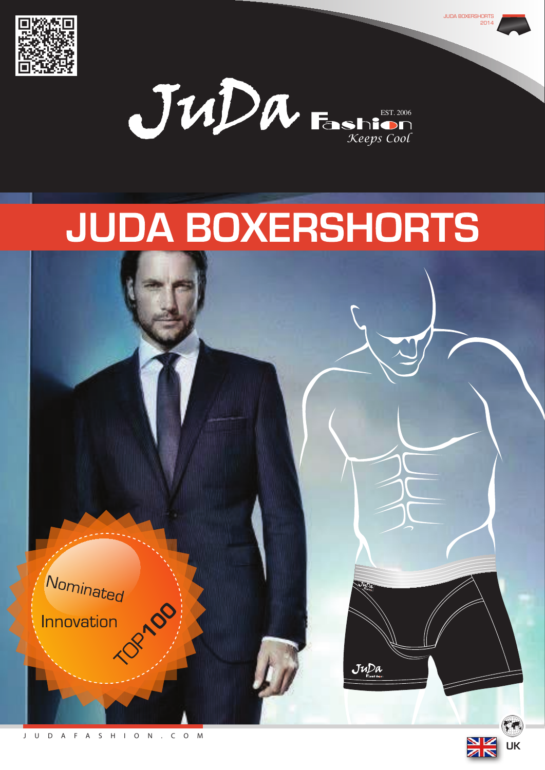



**JUDA BOXERSHORTS** 

2014

# **JUDA BOXERSHORTS**

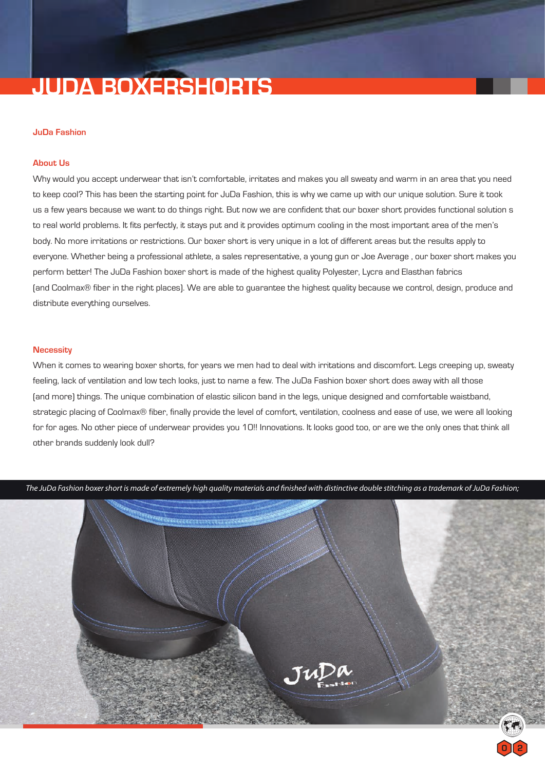## **JUDA BOXERSHORTS**

#### **JuDa Fashion**

#### **About Us**

Why would you accept underwear that isn't comfortable, irritates and makes you all sweaty and warm in an area that you need to keep cool? This has been the starting point for JuDa Fashion, this is why we came up with our unique solution. Sure it took us a few years because we want to do things right. But now we are confident that our boxer short provides functional solution s to real world problems. It fits perfectly, it stays put and it provides optimum cooling in the most important area of the men's body. No more irritations or restrictions. Our boxer short is very unique in a lot of different areas but the results apply to everyone. Whether being a professional athlete, a sales representative, a young gun or Joe Average , our boxer short makes you perform better! The JuDa Fashion boxer short is made of the highest quality Polyester, Lycra and Elasthan fabrics (and Coolmax® fiber in the right places). We are able to guarantee the highest quality because we control, design, produce and distribute everything ourselves.

#### **Necessity**

When it comes to wearing boxer shorts, for years we men had to deal with irritations and discomfort. Legs creeping up, sweaty feeling, lack of ventilation and low tech looks, just to name a few. The JuDa Fashion boxer short does away with all those (and more) things. The unique combination of elastic silicon band in the legs, unique designed and comfortable waistband, strategic placing of Coolmax® fiber, finally provide the level of comfort, ventilation, coolness and ease of use, we were all looking for for ages. No other piece of underwear provides you 10!! Innovations. It looks good too, or are we the only ones that think all other brands suddenly look dull?



*The JuDa Fashion boxer short is made of extremely high quality materials and finished with distinctive double stitching as a trademark of JuDa Fashion;*

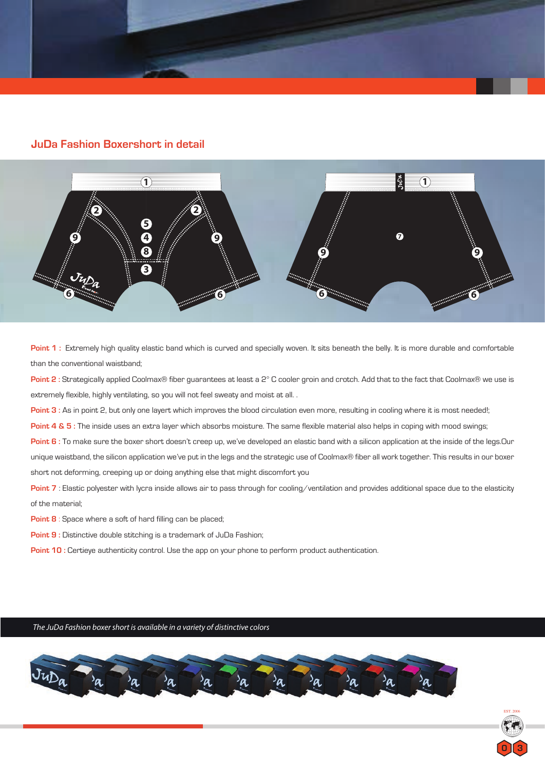

### **JuDa Fashion Boxershort in detail**



Point 1 : Extremely high quality elastic band which is curved and specially woven. It sits beneath the belly. It is more durable and comfortable than the conventional waistband;

**Point 2 :** Strategically applied Coolmax® fiber guarantees at least a 2° C cooler groin and crotch. Add that to the fact that Coolmax® we use is extremely flexible, highly ventilating, so you will not feel sweaty and moist at all. .

Point 3 : As in point 2, but only one layert which improves the blood circulation even more, resulting in cooling where it is most needed!;

**Point 4 & 5 :** The inside uses an extra layer which absorbs moisture. The same flexible material also helps in coping with mood swings;

**Point 6 :** To make sure the boxer short doesn't creep up, we've developed an elastic band with a silicon application at the inside of the legs.Our unique waistband, the silicon application we've put in the legs and the strategic use of Coolmax® fiber all work together. This results in our boxer short not deforming, creeping up or doing anything else that might discomfort you

**Point 7** : Elastic polyester with lycra inside allows air to pass through for cooling/ventilation and provides additional space due to the elasticity of the material;

**Point 8** : Space where a soft of hard filling can be placed;

**Point 9 :** Distinctive double stitching is a trademark of JuDa Fashion;

**Point 10 : Certieye authenticity control. Use the app on your phone to perform product authentication.** 

*The JuDa Fashion boxer short is available in a variety of distinctive colors*